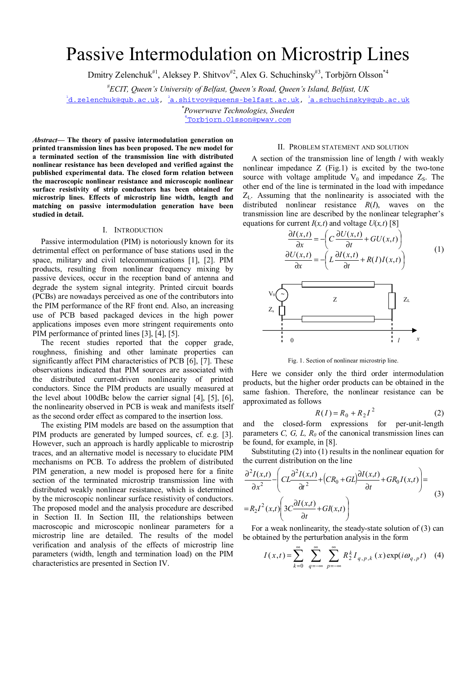# Passive Intermodulation on Microstrip Lines

Dmitry Zelenchuk<sup>#1</sup>, Aleksey P. Shitvov<sup>#2</sup>, Alex G. Schuchinsky<sup>#3</sup>, Torbjörn Olsson<sup>\*4</sup>

*# ECIT, Queen's University of Belfast, Queen's Road, Queen's Island, Belfast, UK* 

<sup>1</sup>d.zelenchuk@qub.ac.uk, <sup>2</sup>a.shitvov@queens-belfast.ac.uk, <sup>3</sup>a.schuchinsky@qub.ac.uk

*\* Powerwave Technologies, Sweden*  4 Torbjorn.Olsson@pwav.com

*Abstract***— The theory of passive intermodulation generation on printed transmission lines has been proposed. The new model for a terminated section of the transmission line with distributed nonlinear resistance has been developed and verified against the published experimental data. The closed form relation between the macroscopic nonlinear resistance and microscopic nonlinear surface resistivity of strip conductors has been obtained for microstrip lines. Effects of microstrip line width, length and matching on passive intermodulation generation have been studied in detail.** 

#### I. INTRODUCTION

Passive intermodulation (PIM) is notoriously known for its detrimental effect on performance of base stations used in the space, military and civil telecommunications [1], [2]. PIM products, resulting from nonlinear frequency mixing by passive devices, occur in the reception band of antenna and degrade the system signal integrity. Printed circuit boards (PCBs) are nowadays perceived as one of the contributors into the PIM performance of the RF front end. Also, an increasing use of PCB based packaged devices in the high power applications imposes even more stringent requirements onto PIM performance of printed lines [3], [4], [5].

The recent studies reported that the copper grade, roughness, finishing and other laminate properties can significantly affect PIM characteristics of PCB [6], [7]. These observations indicated that PIM sources are associated with the distributed current-driven nonlinearity of printed conductors. Since the PIM products are usually measured at the level about 100dBc below the carrier signal [4], [5], [6], the nonlinearity observed in PCB is weak and manifests itself as the second order effect as compared to the insertion loss.

The existing PIM models are based on the assumption that PIM products are generated by lumped sources, cf. e.g. [3]. However, such an approach is hardly applicable to microstrip traces, and an alternative model is necessary to elucidate PIM mechanisms on PCB. To address the problem of distributed PIM generation, a new model is proposed here for a finite section of the terminated microstrip transmission line with distributed weakly nonlinear resistance, which is determined by the microscopic nonlinear surface resistivity of conductors. The proposed model and the analysis procedure are described in Section II. In Section III, the relationships between macroscopic and microscopic nonlinear parameters for a microstrip line are detailed. The results of the model verification and analysis of the effects of microstrip line parameters (width, length and termination load) on the PIM characteristics are presented in Section IV.

#### II. PROBLEM STATEMENT AND SOLUTION

A section of the transmission line of length *l* with weakly nonlinear impedance Z (Fig.1) is excited by the two-tone source with voltage amplitude  $V_0$  and impedance  $Z_s$ . The other end of the line is terminated in the load with impedance ZL. Assuming that the nonlinearity is associated with the distributed nonlinear resistance *R*(*I*), waves on the transmission line are described by the nonlinear telegrapher's equations for current  $I(x,t)$  and voltage  $U(x,t)$  [8]



0  $l$  x  $l$ 

Fig. 1. Section of nonlinear microstrip line.

Here we consider only the third order intermodulation products, but the higher order products can be obtained in the same fashion. Therefore, the nonlinear resistance can be approximated as follows

$$
R(I) = R_0 + R_2 I^2
$$
 (2)

and the closed-form expressions for per-unit-length parameters *C, G, L, R<sub>0</sub>* of the canonical transmission lines can be found, for example, in [8].

Substituting (2) into (1) results in the nonlinear equation for the current distribution on the line

$$
\frac{\partial^2 I(x,t)}{\partial x^2} - \left( CL \frac{\partial^2 I(x,t)}{\partial t^2} + (CR_0 + GL) \frac{\partial I(x,t)}{\partial t} + GR_0 I(x,t) \right) = R_2 I^2(x,t) \left( 3C \frac{\partial I(x,t)}{\partial t} + GI(x,t) \right)
$$
\n(3)

For a weak nonlinearity, the steady-state solution of (3) can be obtained by the perturbation analysis in the form

$$
I(x,t) = \sum_{k=0}^{\infty} \sum_{q=-\infty}^{\infty} \sum_{p=-\infty}^{\infty} R_2^k I_{q,p,k}(x) \exp(i\omega_{q,p}t)
$$
 (4)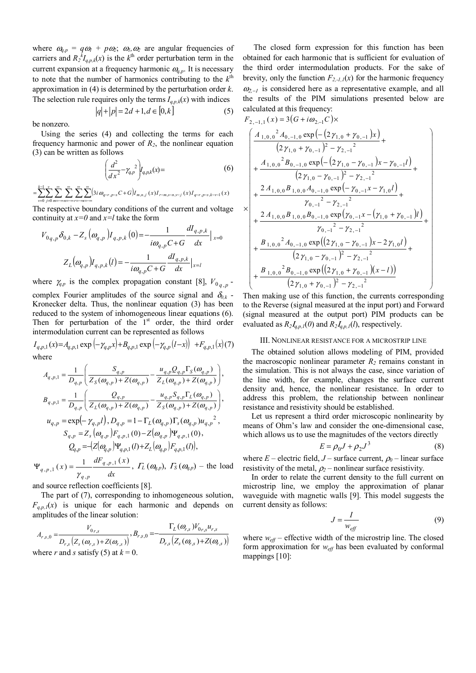where  $\omega_{q,p} = q\omega_1 + p\omega_2$ ;  $\omega_1, \omega_2$  are angular frequencies of carriers and  $R_2^k I_{q,p,k}(x)$  is the  $k^{\text{th}}$  order perturbation term in the current expansion at a frequency harmonic <sup>ω</sup>*q,p*. It is necessary to note that the number of harmonics contributing to the  $k^{\text{th}}$ approximation in (4) is determined by the perturbation order *k*. The selection rule requires only the terms  $I_{q,p,k}(x)$  with indices

$$
|q| + |p| = 2d + 1, d \in [0, k]
$$
 (5)

be nonzero.

Using the series (4) and collecting the terms for each frequency harmonic and power of  $R_2$ , the nonlinear equation (3) can be written as follows

$$
\left(\frac{d^2}{dx^2} - \gamma_{q,p}^2\right) I_{q,p,k}(x) = \tag{6}
$$

$$
=\sum_{\nu=0}^{k-1} \sum_{j=0}^{\nu} \sum_{m=-\infty}^{\infty} \sum_{r=-\infty}^{\infty} \sum_{r=-\infty}^{\infty} (3i \omega_{q-r,p-s} C + G) I_{m,n,j}(x) I_{r-m,s-n,\nu-j}(x) I_{q-r,p-s,k-\nu-1}(x)
$$

The respective boundary conditions of the current and voltage  $\times$ continuity at *x=0* and *x=l* take the form

$$
V_{0q,p} \delta_{0,k} - Z_s \left( \omega_{q,p} \right) I_{q,p,k}(0) = -\frac{1}{i \omega_{q,p} C + G} \frac{dI_{q,p,k}}{dx} \Big|_{x=0}
$$

$$
Z_L \left( \omega_{q,p} \right) I_{q,p,k}(l) = -\frac{1}{i \omega_{q,p} C + G} \frac{dI_{q,p,k}}{dx} \Big|_{x=l}
$$

where  $\gamma_{q,p}$  is the complex propagation constant [8],  $V_{0,q,p}$  -

complex Fourier amplitudes of the source signal and  $\delta_{0,k}$ Kronecker delta. Thus, the nonlinear equation (3) has been reduced to the system of inhomogeneous linear equations (6). Then for perturbation of the  $1<sup>st</sup>$  order, the third order intermodulation current can be represented as follows

$$
I_{q,p,1}(x) = A_{q,p,1} \exp\left(-\gamma_{q,p}x\right) + B_{q,p,1} \exp\left(-\gamma_{q,p}\left(l-x\right)\right) + F_{q,p,1}(x)(7)
$$
\nwhere

$$
A_{q,p,1} = \frac{1}{D_{q,p}} \left( \frac{S_{q,p}}{Z_S(\omega_{q,p}) + Z(\omega_{q,p})} - \frac{u_{q,p}Q_{q,p}\Gamma_S(\omega_{q,p})}{Z_L(\omega_{q,p}) + Z(\omega_{q,p})} \right),
$$
  
\n
$$
B_{q,p,1} = \frac{1}{D_{q,p}} \left( \frac{Q_{q,p}}{Z_L(\omega_{q,p}) + Z(\omega_{q,p})} - \frac{u_{q,p}S_{q,p}\Gamma_L(\omega_{q,p})}{Z_S(\omega_{q,p}) + Z(\omega_{q,p})} \right),
$$
  
\n
$$
u_{q,p} = \exp\left(-\gamma_{q,p}l\right), D_{q,p} = 1 - \Gamma_L(\omega_{q,p})\Gamma_S(\omega_{q,p})u_{q,p}^2,
$$
  
\n
$$
S_{q,p} = Z_S(\omega_{q,p})F_{q,p,1}(0) - Z(\omega_{q,p})\Psi_{q,p,1}(0),
$$
  
\n
$$
Q_{q,p} = \left(Z(\omega_{q,p})\Psi_{q,p,1}(l) + Z_L(\omega_{q,p})F_{q,p,1}(l)\right),
$$
  
\n
$$
1 - dF_{r,p,1}(x)
$$

*dx*  $f(x) = \frac{1}{\sqrt{F_{q,p,1}(x)}}$ *q p*  $_{q,p,1}(x) = \frac{1}{x-1} \frac{dF_{q,p,1}(x)}{dx}$ ,  $, p, 1 \left( x \right) = \frac{\gamma}{\gamma}$  $\Psi_{q,p-1}(x) = \frac{1-\alpha q_{p-1}(x)}{q_{p-1}(x)}$ ,  $\Gamma_L(\omega_{q,p})$ ,  $\Gamma_S(\omega_{q,p})$  – the load

and source reflection coefficients [8].

The part of (7), corresponding to inhomogeneous solution,  $F_{q,p,l}(x)$  is unique for each harmonic and depends on amplitudes of the linear solution:

$$
A_{r,s,0} = \frac{V_{0_{r,s}}}{D_{r,s}(Z_s(\omega_{r,s}) + Z(\omega_{r,s}))}, B_{r,s,0} = \frac{\Gamma_L(\omega_{r,s})V_{0_{r,s}}u_{r,s}}{D_{r,s}(Z_s(\omega_{r,s}) + Z(\omega_{r,s}))}
$$
  
where *r* and *s* satisfy (5) at *k* = 0.

 The closed form expression for this function has been obtained for each harmonic that is sufficient for evaluation of the third order intermodulation products. For the sake of brevity, only the function  $F_{2, -1, 1}(x)$  for the harmonic frequency  $\omega_{2,-1}$  is considered here as a representative example, and all the results of the PIM simulations presented below are calculated at this frequency:

$$
F_{2,-1,1}(x) = 3(G + i\omega_{2,-1}C) \times
$$
\n
$$
\begin{pmatrix}\n\frac{A_{1,0,0}^2 A_{0,-1,0} \exp(-(2\gamma_{1,0} + \gamma_{0,-1})x)}{(2\gamma_{1,0} + \gamma_{0,-1})^2 - \gamma_{2,-1}^2} + \n\frac{A_{1,0,0}^2 B_{0,-1,0} \exp(-(2\gamma_{1,0} - \gamma_{0,-1})x - \gamma_{0,-1}t)}{(2\gamma_{1,0} - \gamma_{0,-1})^2 - \gamma_{2,-1}^2} + \n\frac{2A_{1,0,0}B_{1,0,0}A_{0,-1,0} \exp(-\gamma_{0,-1}x - \gamma_{1,0}t)}{\gamma_{0,-1}^2 - \gamma_{2,-1}^2} + \n\frac{2A_{1,0,0}B_{1,0,0}B_{0,-1,0} \exp(\gamma_{0,-1}x - (\gamma_{1,0} + \gamma_{0,-1})t)}{\gamma_{0,-1}^2 - \gamma_{2,-1}^2} + \n\frac{B_{1,0,0}^2 A_{0,-1,0} \exp((2\gamma_{1,0} - \gamma_{0,-1})x - 2\gamma_{1,0}t)}{(2\gamma_{1,0} - \gamma_{0,-1})^2 - \gamma_{2,-1}^2} + \n\frac{B_{1,0,0}^2 B_{0,-1,0} \exp((2\gamma_{1,0} + \gamma_{0,-1})(x - t))}{(2\gamma_{1,0} + \gamma_{0,-1})^2 - \gamma_{2,-1}^2}\n\end{pmatrix}
$$

Then making use of this function, the currents corresponding to the Reverse (signal measured at the input port) and Forward (signal measured at the output port) PIM products can be evaluated as  $R_2I_{q,p,1}(0)$  and  $R_2I_{q,p,1}(l)$ , respectively.

## III. NONLINEAR RESISTANCE FOR A MICROSTRIP LINE

The obtained solution allows modeling of PIM, provided the macroscopic nonlinear parameter  $R_2$  remains constant in the simulation. This is not always the case, since variation of the line width, for example, changes the surface current density and, hence, the nonlinear resistance. In order to address this problem, the relationship between nonlinear resistance and resistivity should be established.

Let us represent a third order microscopic nonlinearity by means of Ohm's law and consider the one-dimensional case, which allows us to use the magnitudes of the vectors directly

$$
E = \rho_0 J + \rho_2 J^3 \tag{8}
$$

where  $E$  – electric field,  $J$  – surface current,  $\rho_0$  – linear surface resistivity of the metal,  $\rho_2$  – nonlinear surface resistivity.

In order to relate the current density to the full current on microstrip line, we employ the approximation of planar waveguide with magnetic walls [9]. This model suggests the current density as follows:

$$
J = \frac{I}{w_{\text{eff}}} \tag{9}
$$

where  $w_{\text{eff}}$  – effective width of the microstrip line. The closed form approximation for *weff* has been evaluated by conformal mappings [10]: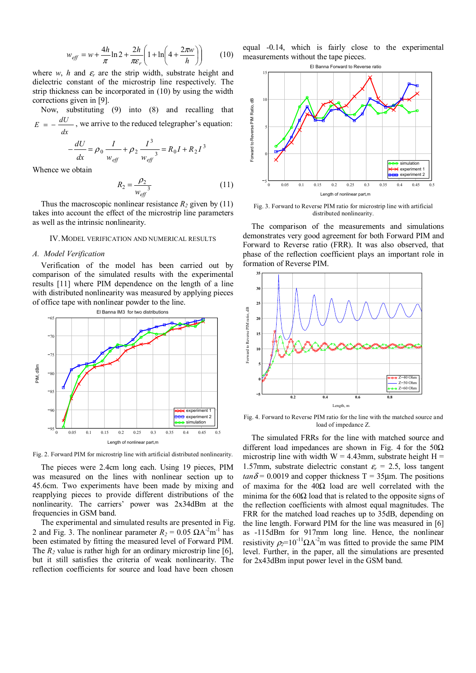$$
w_{\text{eff}} = w + \frac{4h}{\pi} \ln 2 + \frac{2h}{\pi \varepsilon_r} \left( 1 + \ln \left( 4 + \frac{2\pi w}{h} \right) \right) \tag{10}
$$

where *w*, *h* and  $\varepsilon$ *r* are the strip width, substrate height and dielectric constant of the microstrip line respectively. The strip thickness can be incorporated in (10) by using the width corrections given in [9].

Now, substituting (9) into (8) and recalling that 
$$
dU
$$

*dx due* arrive to the reduced telegrapher's equation:

$$
-\frac{dU}{dx} = \rho_0 \frac{I}{w_{\text{eff}}} + \rho_2 \frac{I^3}{w_{\text{eff}}^3} = R_0 I + R_2 I^3
$$

Whence we obtain

$$
R_2 = \frac{\rho_2}{w_{\text{eff}}^3} \tag{11}
$$

Thus the macroscopic nonlinear resistance  $R_2$  given by (11) takes into account the effect of the microstrip line parameters as well as the intrinsic nonlinearity.

# IV.MODEL VERIFICATION AND NUMERICAL RESULTS

# *A. Model Verification*

Verification of the model has been carried out by comparison of the simulated results with the experimental results [11] where PIM dependence on the length of a line with distributed nonlinearity was measured by applying pieces of office tape with nonlinear powder to the line.



Fig. 2. Forward PIM for microstrip line with artificial distributed nonlinearity.

The pieces were 2.4cm long each. Using 19 pieces, PIM was measured on the lines with nonlinear section up to 45.6cm. Two experiments have been made by mixing and reapplying pieces to provide different distributions of the nonlinearity. The carriers' power was 2x34dBm at the frequencies in GSM band.

The experimental and simulated results are presented in Fig. 2 and Fig. 3. The nonlinear parameter  $R_2 = 0.05 \Omega A^2 m^{-1}$  has been estimated by fitting the measured level of Forward PIM. The  $R_2$  value is rather high for an ordinary microstrip line [6], but it still satisfies the criteria of weak nonlinearity. The reflection coefficients for source and load have been chosen

equal -0.14, which is fairly close to the experimental measurements without the tape pieces.



Fig. 3. Forward to Reverse PIM ratio for microstrip line with artificial distributed nonlinearity.

The comparison of the measurements and simulations demonstrates very good agreement for both Forward PIM and Forward to Reverse ratio (FRR). It was also observed, that phase of the reflection coefficient plays an important role in formation of Reverse PIM.



Fig. 4. Forward to Reverse PIM ratio for the line with the matched source and load of impedance Z.

The simulated FRRs for the line with matched source and different load impedances are shown in Fig. 4 for the  $50\Omega$ microstrip line with width  $W = 4.43$ mm, substrate height H = 1.57mm, substrate dielectric constant  $\varepsilon_r$  = 2.5, loss tangent  $tan \delta = 0.0019$  and copper thickness T = 35 $\mu$ m. The positions of maxima for the 40Ω load are well correlated with the minima for the  $60\Omega$  load that is related to the opposite signs of the reflection coefficients with almost equal magnitudes. The FRR for the matched load reaches up to 35dB, depending on the line length. Forward PIM for the line was measured in [6] as -115dBm for 917mm long line. Hence, the nonlinear resistivity  $\rho_2=10^{-11}\Omega A^{-2}$ m was fitted to provide the same PIM level. Further, in the paper, all the simulations are presented for 2x43dBm input power level in the GSM band.